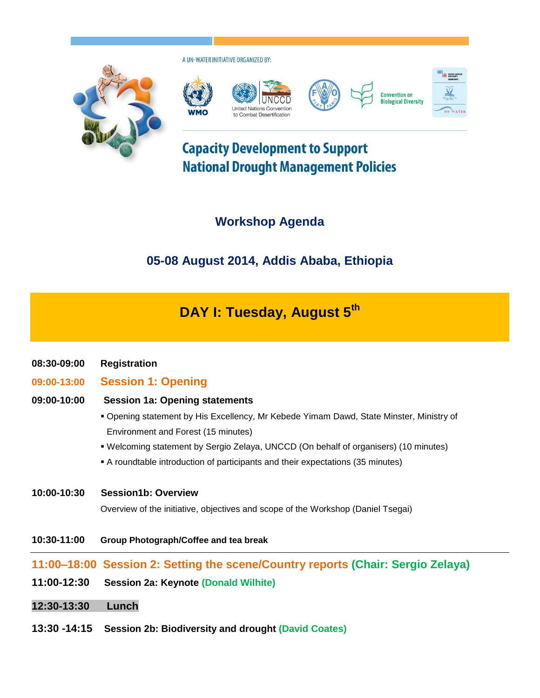

A UN-WATER INITIATIVE ORGANIZED BY:



# **Capacity Development to Support National Drought Management Policies**

## **Workshop Agenda**

## **05-08 August 2014, Addis Ababa, Ethiopia**

# **DAY I: Tuesday, August 5th**

- **08:30-09:00 Registration**
- **09:00-13:00 Session 1: Opening**

### **09:00-10:00 Session 1a: Opening statements**

- Opening statement by His Excellency, Mr Kebede Yimam Dawd, State Minster, Ministry of Environment and Forest (15 minutes)
- Welcoming statement by Sergio Zelaya, UNCCD (On behalf of organisers) (10 minutes)
- A roundtable introduction of participants and their expectations (35 minutes)

#### **10:00-10:30 Session1b: Overview**

Overview of the initiative, objectives and scope of the Workshop (Daniel Tsegai)

**10:30-11:00 Group Photograph/Coffee and tea break**

### **11:00–18:00 Session 2: Setting the scene/Country reports (Chair: Sergio Zelaya)**

- **11:00-12:30 Session 2a: Keynote (Donald Wilhite)**
- **12:30-13:30 Lunch**
- **13:30 -14:15 Session 2b: Biodiversity and drought (David Coates)**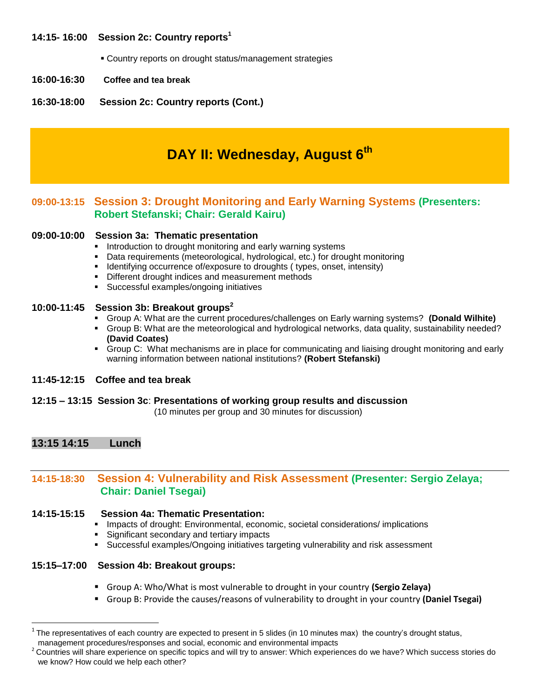#### **14:15- 16:00 Session 2c: Country reports<sup>1</sup>**

Country reports on drought status/management strategies

- **16:00-16:30 Coffee and tea break**
- **16:30-18:00 Session 2c: Country reports (Cont.)**

### **DAY II: Wednesday, August 6th**

### **09:00-13:15 Session 3: Drought Monitoring and Early Warning Systems (Presenters: Robert Stefanski; Chair: Gerald Kairu)**

#### **09:00-10:00 Session 3a: Thematic presentation**

- **Introduction to drought monitoring and early warning systems**
- Data requirements (meteorological, hydrological, etc.) for drought monitoring
- **IDENTIFY IDENTIFY IS A LOCATA CONTRACT META** Identifying occurrence of/exposure to droughts ( types, onset, intensity )
- **•** Different drought indices and measurement methods
- Successful examples/ongoing initiatives

#### **10:00-11:45 Session 3b: Breakout groups<sup>2</sup>**

- Group A: What are the current procedures/challenges on Early warning systems? **(Donald Wilhite)**
- Group B: What are the meteorological and hydrological networks, data quality, sustainability needed? **(David Coates)**
- Group C: What mechanisms are in place for communicating and liaising drought monitoring and early warning information between national institutions? **(Robert Stefanski)**

#### **11:45-12:15 Coffee and tea break**

#### **12:15 – 13:15 Session 3c**: **Presentations of working group results and discussion**

(10 minutes per group and 30 minutes for discussion)

#### **13:15 14:15 Lunch**

 $\overline{a}$ 

### **14:15-18:30 Session 4: Vulnerability and Risk Assessment (Presenter: Sergio Zelaya; Chair: Daniel Tsegai)**

#### **14:15-15:15 Session 4a: Thematic Presentation:**

- Impacts of drought: Environmental, economic, societal considerations/ implications
- Significant secondary and tertiary impacts
- Successful examples/Ongoing initiatives targeting vulnerability and risk assessment

#### **15:15–17:00 Session 4b: Breakout groups:**

- Group A: Who/What is most vulnerable to drought in your country **(Sergio Zelaya)**
- Group B: Provide the causes/reasons of vulnerability to drought in your country **(Daniel Tsegai)**

 $1$  The representatives of each country are expected to present in 5 slides (in 10 minutes max) the country's drought status, management procedures/responses and social, economic and environmental impacts

 $^2$  Countries will share experience on specific topics and will try to answer: Which experiences do we have? Which success stories do we know? How could we help each other?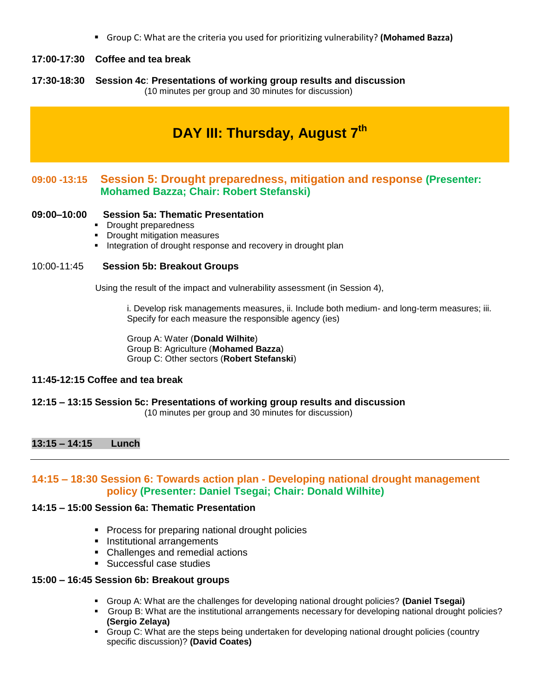Group C: What are the criteria you used for prioritizing vulnerability? **(Mohamed Bazza)**

#### **17:00-17:30 Coffee and tea break**

**17:30-18:30 Session 4c**: **Presentations of working group results and discussion** (10 minutes per group and 30 minutes for discussion)

## **DAY III: Thursday, August 7th**

### **09:00 -13:15 Session 5: Drought preparedness, mitigation and response (Presenter: Mohamed Bazza; Chair: Robert Stefanski)**

#### **09:00–10:00 Session 5a: Thematic Presentation**

- Drought preparedness
- **•** Drought mitigation measures
- **Integration of drought response and recovery in drought plan**

#### 10:00-11:45 **Session 5b: Breakout Groups**

Using the result of the impact and vulnerability assessment (in Session 4),

i. Develop risk managements measures, ii. Include both medium- and long-term measures; iii. Specify for each measure the responsible agency (ies)

Group A: Water (**Donald Wilhite**) Group B: Agriculture (**Mohamed Bazza**) Group C: Other sectors (**Robert Stefanski**)

#### **11:45-12:15 Coffee and tea break**

#### **12:15 – 13:15 Session 5c: Presentations of working group results and discussion**

(10 minutes per group and 30 minutes for discussion)

#### **13:15 – 14:15 Lunch**

#### **14:15 – 18:30 Session 6: Towards action plan - Developing national drought management policy (Presenter: Daniel Tsegai; Chair: Donald Wilhite)**

#### **14:15 – 15:00 Session 6a: Thematic Presentation**

- **Process for preparing national drought policies**
- **Institutional arrangements**
- Challenges and remedial actions
- **Successful case studies**

#### **15:00 – 16:45 Session 6b: Breakout groups**

- Group A: What are the challenges for developing national drought policies? **(Daniel Tsegai)**
- Group B: What are the institutional arrangements necessary for developing national drought policies? **(Sergio Zelaya)**
- Group C: What are the steps being undertaken for developing national drought policies (country specific discussion)? **(David Coates)**